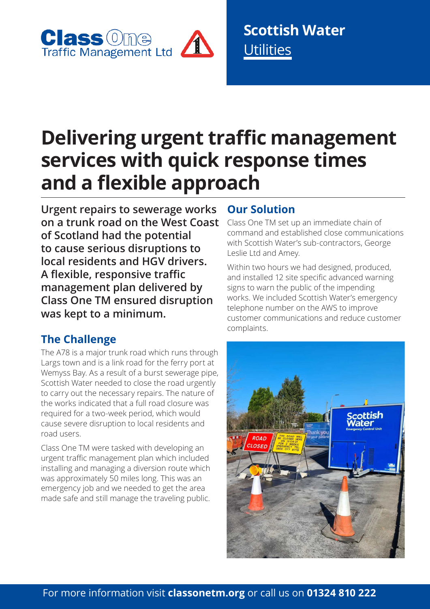

**Scottish Water Utilities** 

# **Delivering urgent traffic management services with quick response times and a flexible approach**

**Urgent repairs to sewerage works on a trunk road on the West Coast of Scotland had the potential to cause serious disruptions to local residents and HGV drivers. A flexible, responsive traffic management plan delivered by Class One TM ensured disruption was kept to a minimum.**

### **The Challenge**

The A78 is a major trunk road which runs through Largs town and is a link road for the ferry port at Wemyss Bay. As a result of a burst sewerage pipe, Scottish Water needed to close the road urgently to carry out the necessary repairs. The nature of the works indicated that a full road closure was required for a two-week period, which would cause severe disruption to local residents and road users.

Class One TM were tasked with developing an urgent traffic management plan which included installing and managing a diversion route which was approximately 50 miles long. This was an emergency job and we needed to get the area made safe and still manage the traveling public.

### **Our Solution**

Class One TM set up an immediate chain of command and established close communications with Scottish Water's sub-contractors, George Leslie Ltd and Amey.

Within two hours we had designed, produced, and installed 12 site specific advanced warning signs to warn the public of the impending works. We included Scottish Water's emergency telephone number on the AWS to improve customer communications and reduce customer complaints.